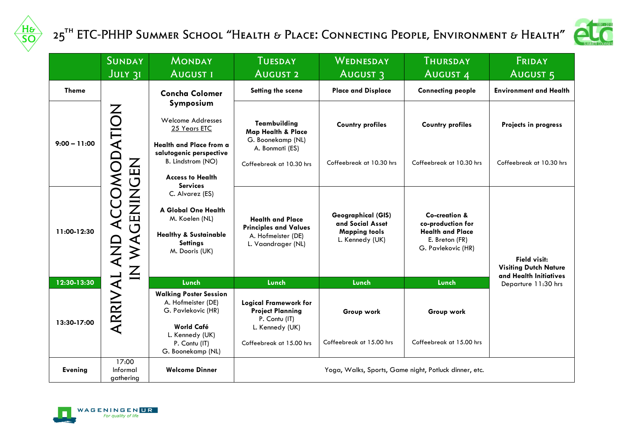

## 25<sup>th</sup> ETC-PHHP Summer School "Health & Place: Connecting People, Environment & Health"



|                | <b>SUNDAY</b><br>JULY 31       | <b>MONDAY</b><br><b>AUGUST I</b>                                                                                                                              | <b>TUESDAY</b><br><b>AUGUST 2</b>                                                                                        | WEDNESDAY<br><b>AUGUST 3</b>                                                      | <b>THURSDAY</b><br><b>AUGUST 4</b>                                              | FRIDAY<br>AUGUST <sub>5</sub>                                                 |  |
|----------------|--------------------------------|---------------------------------------------------------------------------------------------------------------------------------------------------------------|--------------------------------------------------------------------------------------------------------------------------|-----------------------------------------------------------------------------------|---------------------------------------------------------------------------------|-------------------------------------------------------------------------------|--|
| <b>Theme</b>   |                                | <b>Concha Colomer</b>                                                                                                                                         | Setting the scene                                                                                                        | <b>Place and Displace</b>                                                         | <b>Connecting people</b>                                                        | <b>Environment and Health</b>                                                 |  |
| $9:00 - 11:00$ | ACCOMODATION                   | Symposium<br>Welcome Addresses<br>25 Years ETC<br><b>Health and Place from a</b><br>salutogenic perspective<br>B. Lindstrom (NO)                              | <b>Teambuilding</b><br><b>Map Health &amp; Place</b><br>G. Boonekamp (NL)<br>A. Bonmati (ES)<br>Coffeebreak at 10.30 hrs | <b>Country profiles</b><br>Coffeebreak at 10.30 hrs                               | <b>Country profiles</b><br>Coffeebreak at 10.30 hrs                             | Projects in progress<br>Coffeebreak at 10.30 hrs                              |  |
| 11:00-12:30    | ZHUNINGWY NI<br>AND            | <b>Access to Health</b><br><b>Services</b><br>C. Alvarez (ES)<br>A Global One Health<br>M. Koelen (NL)<br><b>Healthy &amp; Sustainable</b><br><b>Settings</b> | <b>Health and Place</b><br><b>Principles and Values</b><br>A. Hofmeister (DE)<br>L. Vaandrager (NL)                      | Geographical (GIS)<br>and Social Asset<br><b>Mapping tools</b><br>L. Kennedy (UK) | Co-creation &<br>co-production for<br><b>Health and Place</b><br>E. Breton (FR) |                                                                               |  |
| 12:30-13:30    |                                | M. Dooris (UK)<br>Lunch                                                                                                                                       | Lunch                                                                                                                    | Lunch                                                                             | G. Pavlekovic (HR)<br>Lunch                                                     | <b>Field visit:</b><br><b>Visiting Dutch Nature</b><br>and Health Initiatives |  |
| 13:30-17:00    | ARRIVAL                        | <b>Walking Poster Session</b><br>A. Hofmeister (DE)<br>G. Pavlekovic (HR)<br>World Café<br>L. Kennedy (UK)<br>P. Contu (IT)                                   | <b>Logical Framework for</b><br><b>Project Planning</b><br>P. Contu (IT)<br>L. Kennedy (UK)<br>Coffeebreak at 15.00 hrs. | Group work<br>Coffeebreak at 15.00 hrs                                            | Group work<br>Coffeebreak at 15.00 hrs                                          | Departure 11:30 hrs                                                           |  |
| <b>Evening</b> | 17:00<br>Informal<br>gathering | G. Boonekamp (NL)<br><b>Welcome Dinner</b>                                                                                                                    | Yoga, Walks, Sports, Game night, Potluck dinner, etc.                                                                    |                                                                                   |                                                                                 |                                                                               |  |